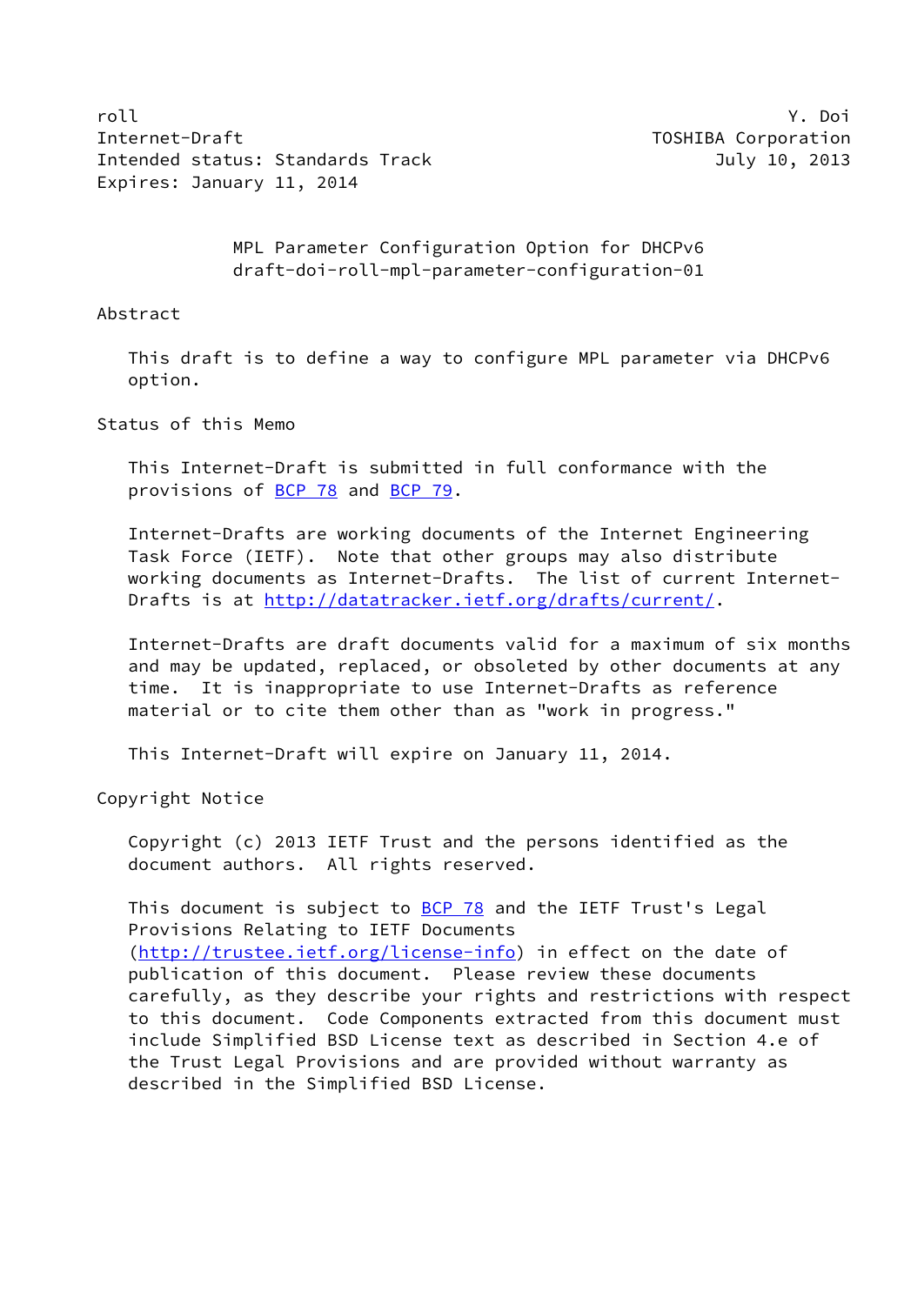roll Y. Doi Internet-Draft The Communication Communication Communication Communication Communication Intended status: Standards Track July 10, 2013 Expires: January 11, 2014

 MPL Parameter Configuration Option for DHCPv6 draft-doi-roll-mpl-parameter-configuration-01

Abstract

 This draft is to define a way to configure MPL parameter via DHCPv6 option.

Status of this Memo

 This Internet-Draft is submitted in full conformance with the provisions of [BCP 78](https://datatracker.ietf.org/doc/pdf/bcp78) and [BCP 79](https://datatracker.ietf.org/doc/pdf/bcp79).

 Internet-Drafts are working documents of the Internet Engineering Task Force (IETF). Note that other groups may also distribute working documents as Internet-Drafts. The list of current Internet- Drafts is at<http://datatracker.ietf.org/drafts/current/>.

 Internet-Drafts are draft documents valid for a maximum of six months and may be updated, replaced, or obsoleted by other documents at any time. It is inappropriate to use Internet-Drafts as reference material or to cite them other than as "work in progress."

This Internet-Draft will expire on January 11, 2014.

Copyright Notice

 Copyright (c) 2013 IETF Trust and the persons identified as the document authors. All rights reserved.

This document is subject to  $BCP$  78 and the IETF Trust's Legal Provisions Relating to IETF Documents [\(http://trustee.ietf.org/license-info](http://trustee.ietf.org/license-info)) in effect on the date of publication of this document. Please review these documents carefully, as they describe your rights and restrictions with respect to this document. Code Components extracted from this document must include Simplified BSD License text as described in Section 4.e of the Trust Legal Provisions and are provided without warranty as described in the Simplified BSD License.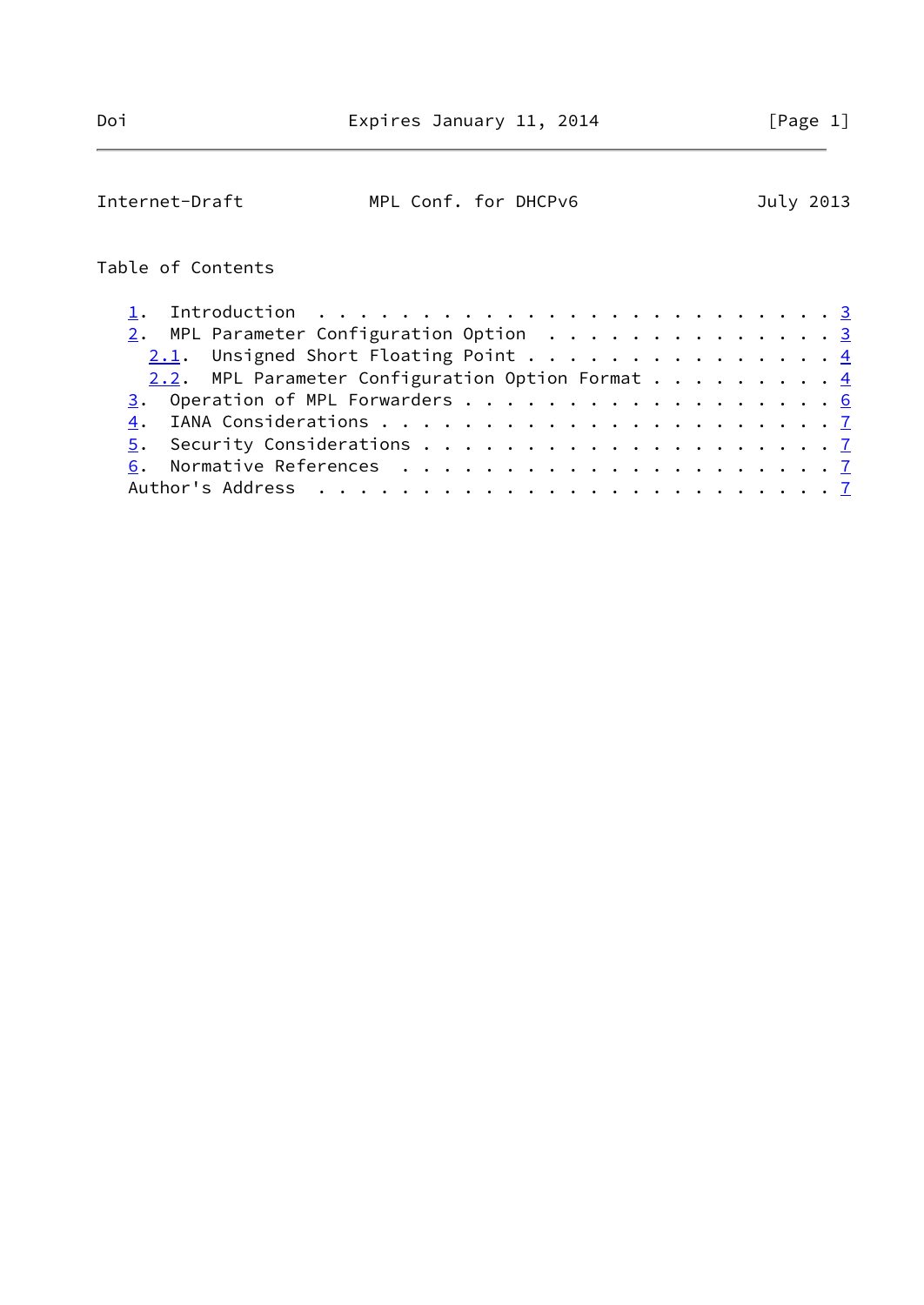| Internet-Draft    | MPL Conf. for DHCPv6                                   |  |  |  |  | July 2013 |
|-------------------|--------------------------------------------------------|--|--|--|--|-----------|
| Table of Contents |                                                        |  |  |  |  |           |
|                   |                                                        |  |  |  |  |           |
|                   | $\underline{2}$ . MPL Parameter Configuration Option 3 |  |  |  |  |           |
|                   | $2.1$ . Unsigned Short Floating Point 4                |  |  |  |  |           |
|                   | 2.2. MPL Parameter Configuration Option Format 4       |  |  |  |  |           |
|                   | 3. Operation of MPL Forwarders 6                       |  |  |  |  |           |
| 4.                |                                                        |  |  |  |  |           |
| 5.                |                                                        |  |  |  |  |           |
|                   |                                                        |  |  |  |  |           |
|                   |                                                        |  |  |  |  |           |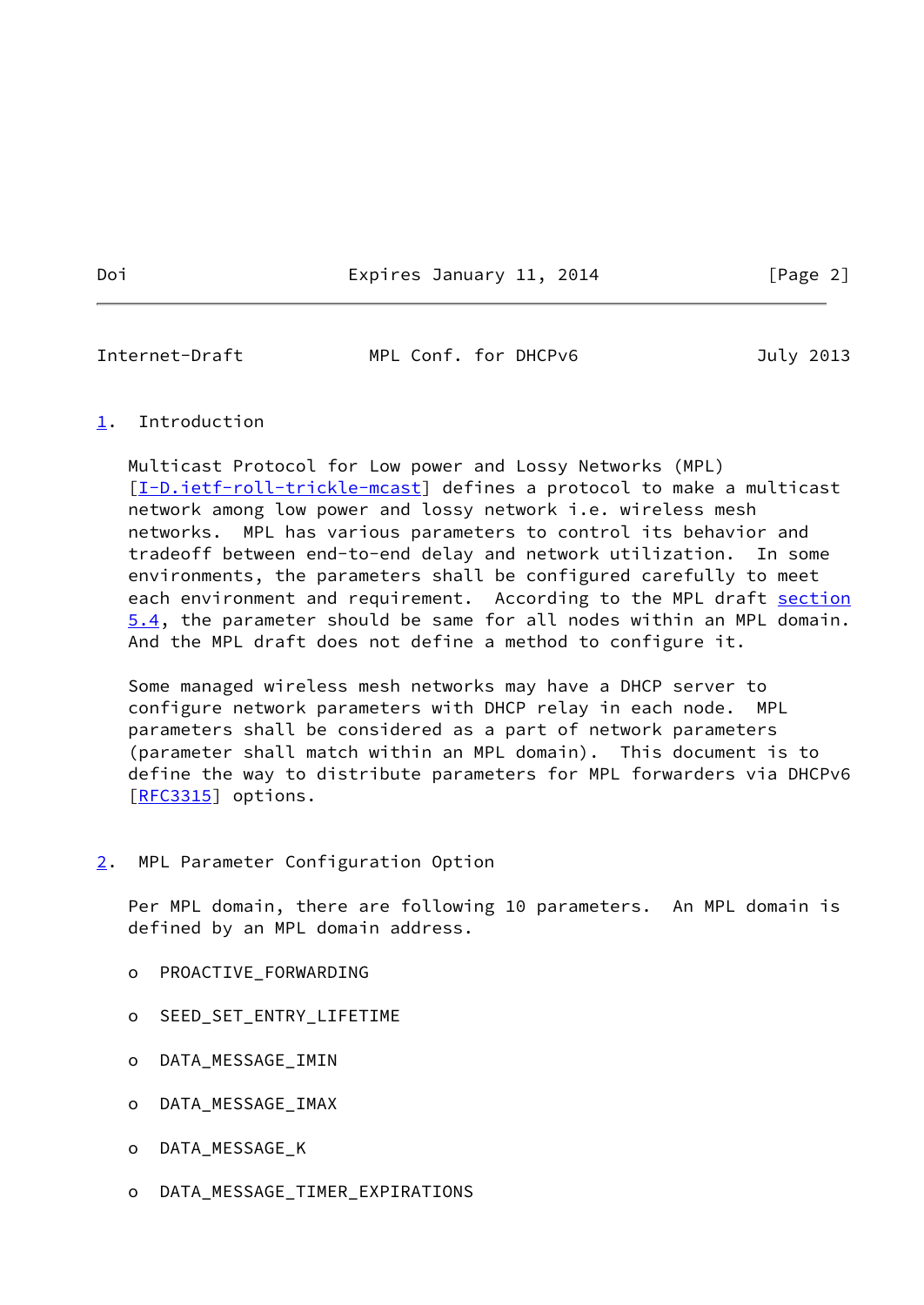<span id="page-2-1"></span>Internet-Draft MPL Conf. for DHCPv6 July 2013

## <span id="page-2-0"></span>[1](#page-2-0). Introduction

 Multicast Protocol for Low power and Lossy Networks (MPL) [\[I-D.ietf-roll-trickle-mcast](#page-7-1)] defines a protocol to make a multicast network among low power and lossy network i.e. wireless mesh networks. MPL has various parameters to control its behavior and tradeoff between end-to-end delay and network utilization. In some environments, the parameters shall be configured carefully to meet each environment and requirement. According to the MPL draft section 5.4, the parameter should be same for all nodes within an MPL domain. And the MPL draft does not define a method to configure it.

 Some managed wireless mesh networks may have a DHCP server to configure network parameters with DHCP relay in each node. MPL parameters shall be considered as a part of network parameters (parameter shall match within an MPL domain). This document is to define the way to distribute parameters for MPL forwarders via DHCPv6 [\[RFC3315](https://datatracker.ietf.org/doc/pdf/rfc3315)] options.

## <span id="page-2-2"></span>[2](#page-2-2). MPL Parameter Configuration Option

Per MPL domain, there are following 10 parameters. An MPL domain is defined by an MPL domain address.

- o PROACTIVE\_FORWARDING
- o SEED\_SET\_ENTRY\_LIFETIME
- o DATA\_MESSAGE\_IMIN
- o DATA\_MESSAGE\_IMAX
- o DATA\_MESSAGE\_K
- o DATA\_MESSAGE\_TIMER\_EXPIRATIONS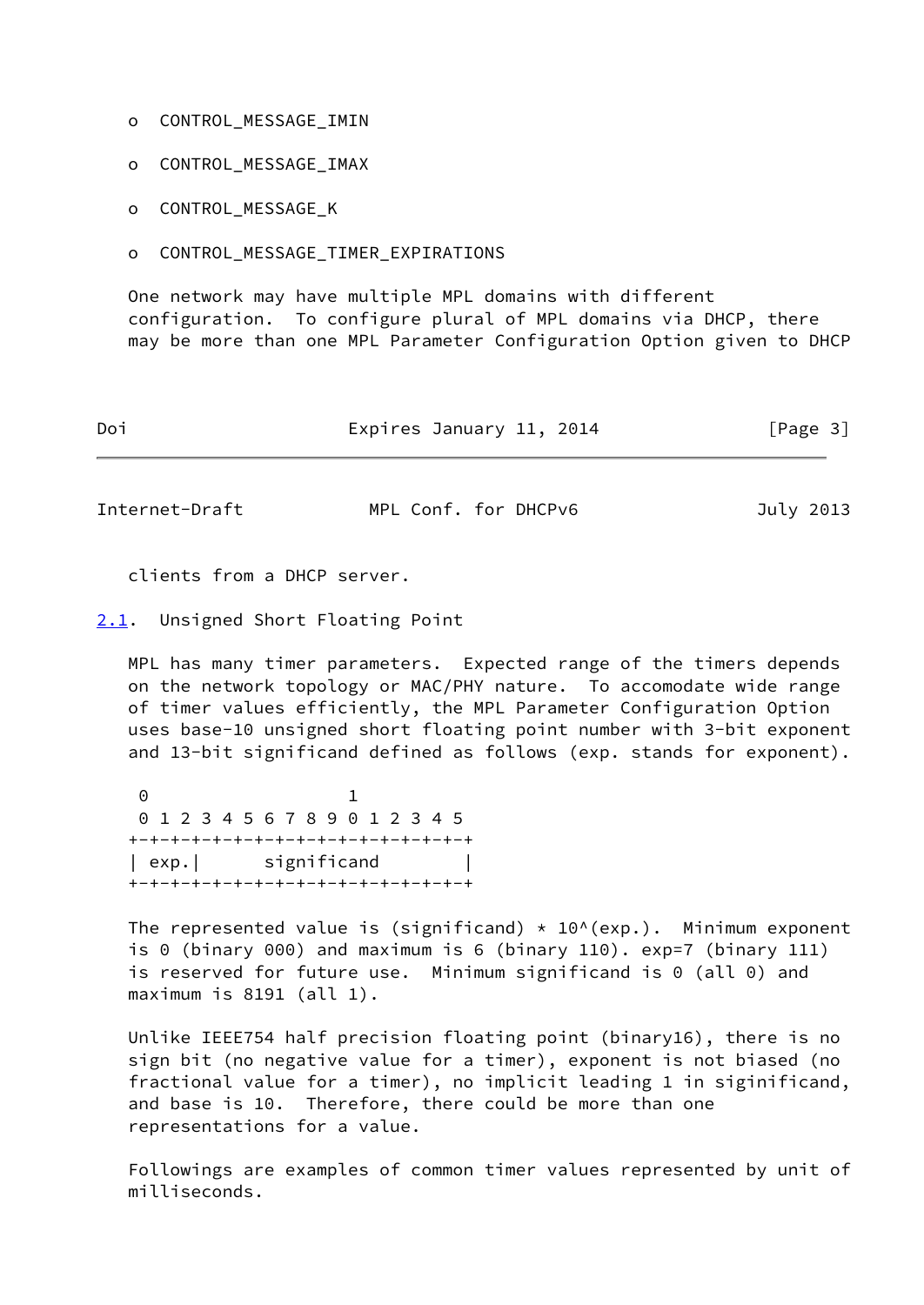- o CONTROL\_MESSAGE\_IMIN
- o CONTROL\_MESSAGE\_IMAX
- o CONTROL\_MESSAGE\_K
- o CONTROL\_MESSAGE\_TIMER\_EXPIRATIONS

 One network may have multiple MPL domains with different configuration. To configure plural of MPL domains via DHCP, there may be more than one MPL Parameter Configuration Option given to DHCP

| Doi | Expires January 11, 2014 | [Page 3] |
|-----|--------------------------|----------|
|     |                          |          |

<span id="page-3-1"></span>

| Internet-Draft | MPL Conf. for DHCPv6 | July 2013 |
|----------------|----------------------|-----------|
|----------------|----------------------|-----------|

clients from a DHCP server.

<span id="page-3-0"></span>[2.1](#page-3-0). Unsigned Short Floating Point

 MPL has many timer parameters. Expected range of the timers depends on the network topology or MAC/PHY nature. To accomodate wide range of timer values efficiently, the MPL Parameter Configuration Option uses base-10 unsigned short floating point number with 3-bit exponent and 13-bit significand defined as follows (exp. stands for exponent).

 0 1 0 1 2 3 4 5 6 7 8 9 0 1 2 3 4 5 +-+-+-+-+-+-+-+-+-+-+-+-+-+-+-+-+ | exp.| significand +-+-+-+-+-+-+-+-+-+-+-+-+-+-+-+-+

The represented value is (significand)  $* 10^(exp.)$ . Minimum exponent is 0 (binary 000) and maximum is 6 (binary 110). exp=7 (binary 111) is reserved for future use. Minimum significand is 0 (all 0) and maximum is 8191 (all 1).

 Unlike IEEE754 half precision floating point (binary16), there is no sign bit (no negative value for a timer), exponent is not biased (no fractional value for a timer), no implicit leading 1 in siginificand, and base is 10. Therefore, there could be more than one representations for a value.

 Followings are examples of common timer values represented by unit of milliseconds.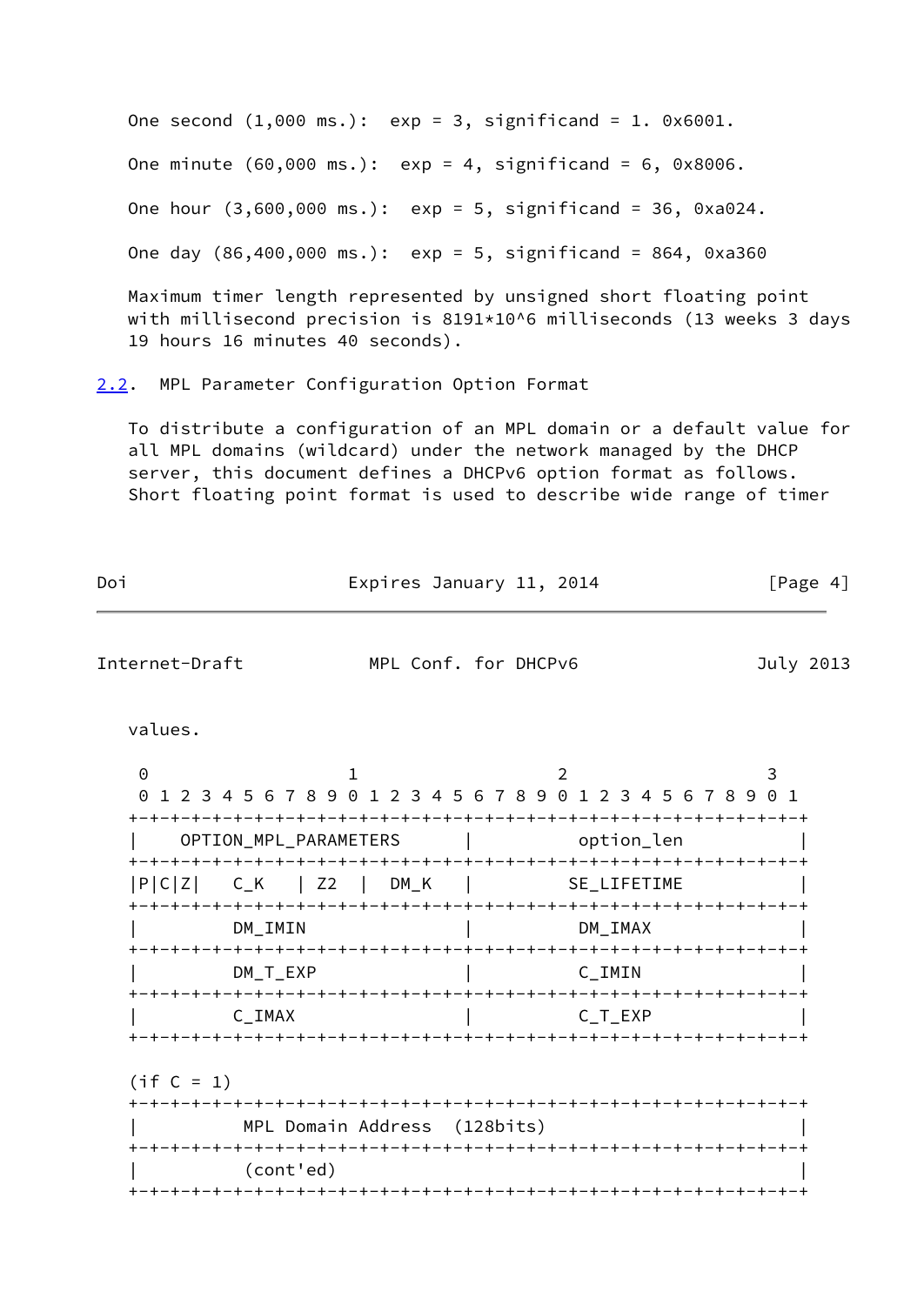One second  $(1,000 \text{ ms.})$ :  $\exp = 3$ , significand = 1. 0x6001. One minute (60,000 ms.): exp = 4, significand = 6, 0x8006. One hour (3,600,000 ms.): exp = 5, significand = 36, 0xa024. One day (86,400,000 ms.): exp = 5, significand = 864, 0xa360 Maximum timer length represented by unsigned short floating point

with millisecond precision is 8191\*10^6 milliseconds (13 weeks 3 days 19 hours 16 minutes 40 seconds).

<span id="page-4-0"></span>[2.2](#page-4-0). MPL Parameter Configuration Option Format

 To distribute a configuration of an MPL domain or a default value for all MPL domains (wildcard) under the network managed by the DHCP server, this document defines a DHCPv6 option format as follows. Short floating point format is used to describe wide range of timer

| Doi                                                                  | Expires January 11, 2014     |             | [Page 4]  |
|----------------------------------------------------------------------|------------------------------|-------------|-----------|
| Internet-Draft                                                       | MPL Conf. for DHCPv6         |             | July 2013 |
| values.                                                              |                              |             |           |
| 0<br>0 1 2 3 4 5 6 7 8 9 0 1 2 3 4 5 6 7 8 9 0 1 2 3 4 5 6 7 8 9 0 1 | $\mathbf{1}$                 | 2           | 3         |
| OPTION_MPL_PARAMETERS                                                |                              | option_len  |           |
| $ P C Z $ $C_K$ $ Z2$ $ DM_K$ $ $                                    |                              | SE LIFETIME |           |
| DM IMIN                                                              |                              | DM IMAX     |           |
| DM T EXP                                                             |                              | C IMIN      |           |
| $C_$ IMAX                                                            |                              | C_T_EXP     |           |
| $(if C = 1)$                                                         |                              |             |           |
|                                                                      | MPL Domain Address (128bits) |             |           |
| (cont'ed)                                                            |                              |             |           |
|                                                                      |                              |             |           |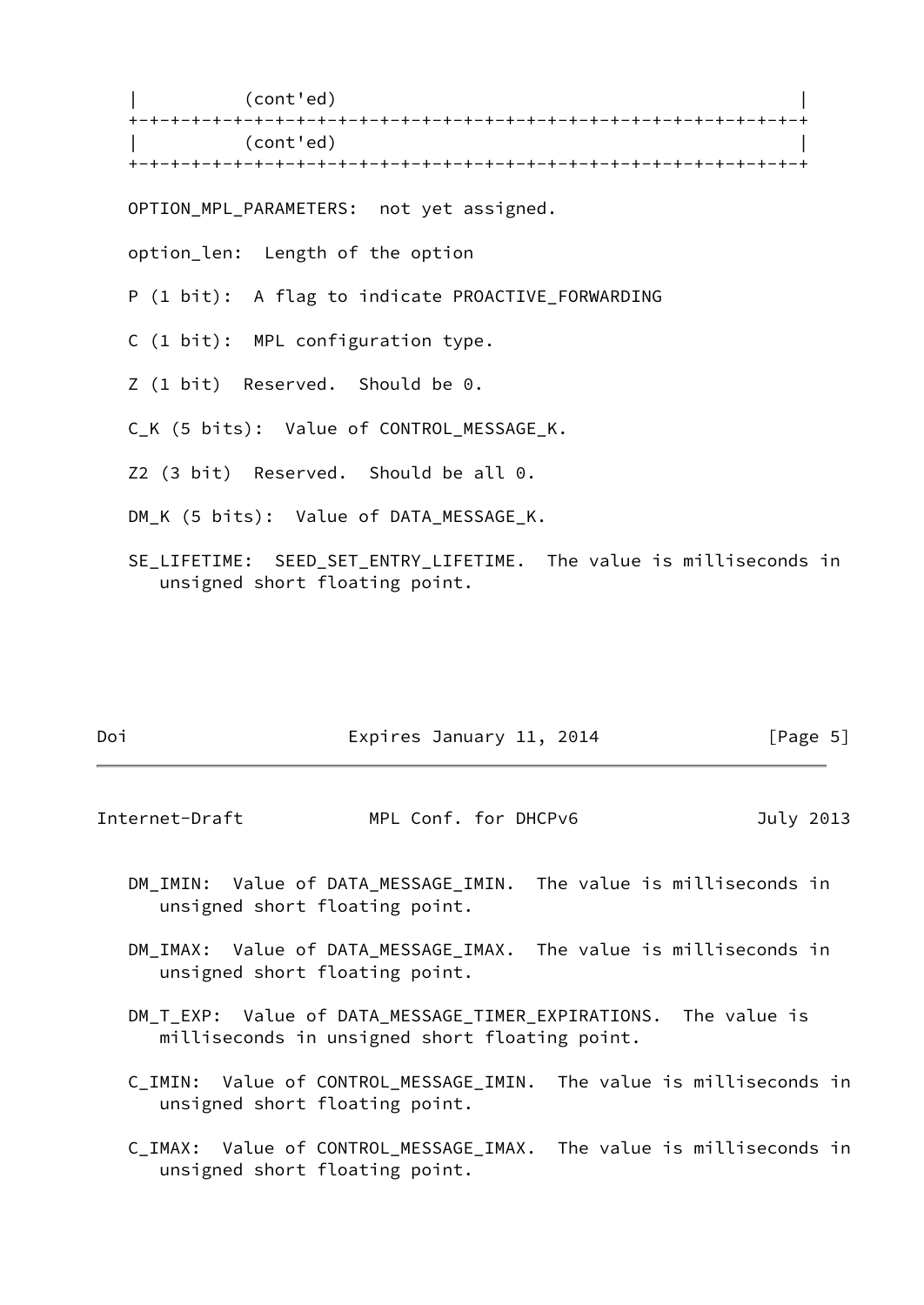| (cont'ed) | +-+-+-+-+-+-+-+-+-+-+-+-+-+-+-+-+-+-+-+-+-+-+-+-+-+-+-+-+-+-+-+-+ | (cont'ed) | +-+-+-+-+-+-+-+-+-+-+-+-+-+-+-+-+-+-+-+-+-+-+-+-+-+-+-+-+-+-+-+-+ OPTION MPL PARAMETERS: not yet assigned. option\_len: Length of the option P (1 bit): A flag to indicate PROACTIVE\_FORWARDING C (1 bit): MPL configuration type. Z (1 bit) Reserved. Should be 0. C\_K (5 bits): Value of CONTROL\_MESSAGE\_K. Z2 (3 bit) Reserved. Should be all 0. DM\_K (5 bits): Value of DATA\_MESSAGE\_K. SE\_LIFETIME: SEED\_SET\_ENTRY\_LIFETIME. The value is milliseconds in unsigned short floating point.

| Doi | Expires January 11, 2014 | [Page 5] |
|-----|--------------------------|----------|
|     |                          |          |

<span id="page-5-0"></span>Internet-Draft MPL Conf. for DHCPv6 July 2013

- DM\_IMIN: Value of DATA\_MESSAGE\_IMIN. The value is milliseconds in unsigned short floating point.
- DM\_IMAX: Value of DATA\_MESSAGE\_IMAX. The value is milliseconds in unsigned short floating point.
- DM\_T\_EXP: Value of DATA\_MESSAGE\_TIMER\_EXPIRATIONS. The value is milliseconds in unsigned short floating point.
- C IMIN: Value of CONTROL MESSAGE IMIN. The value is milliseconds in unsigned short floating point.
- C\_IMAX: Value of CONTROL\_MESSAGE\_IMAX. The value is milliseconds in unsigned short floating point.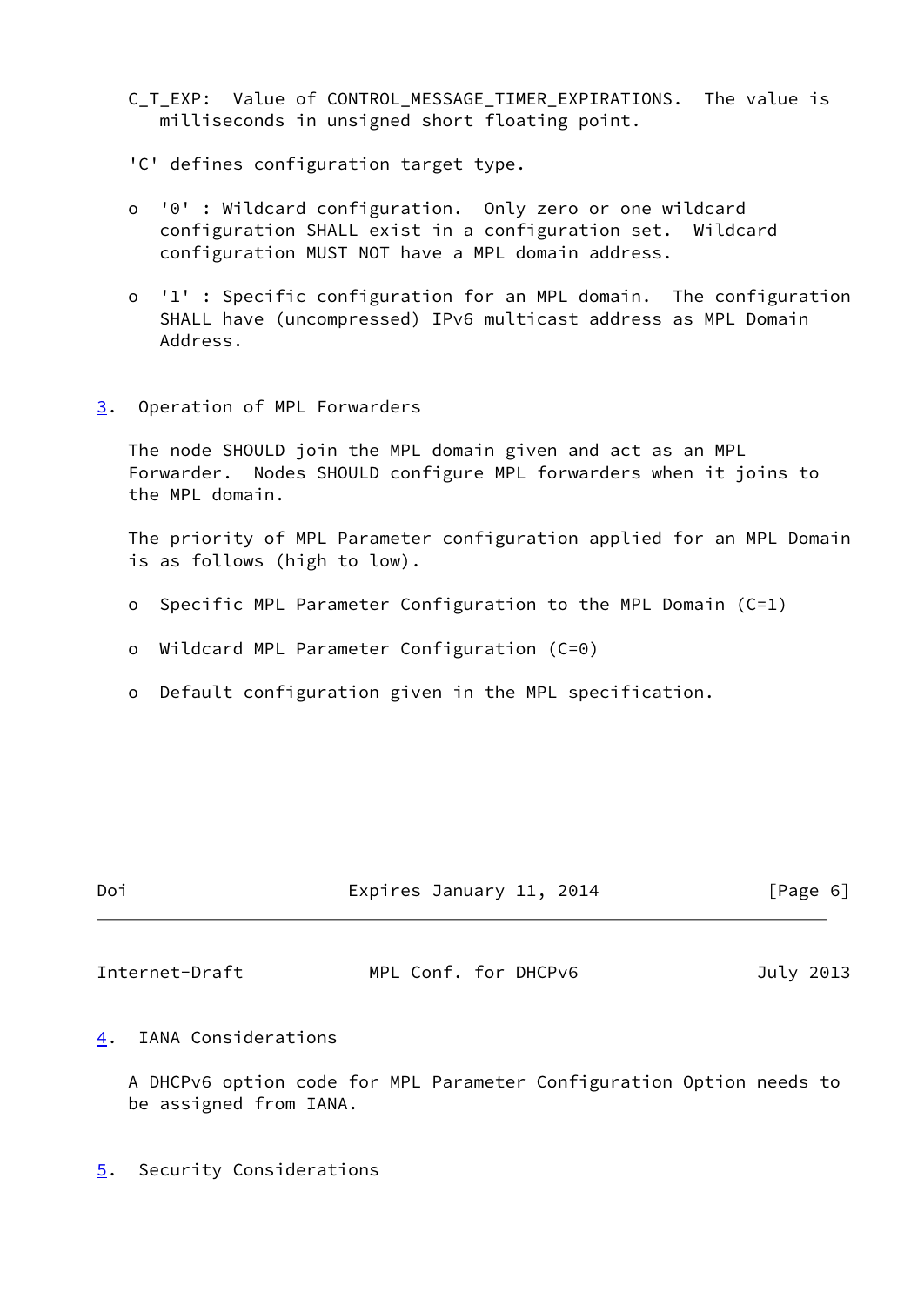- C T EXP: Value of CONTROL MESSAGE TIMER EXPIRATIONS. The value is milliseconds in unsigned short floating point.
- 'C' defines configuration target type.
- o '0' : Wildcard configuration. Only zero or one wildcard configuration SHALL exist in a configuration set. Wildcard configuration MUST NOT have a MPL domain address.
- o '1' : Specific configuration for an MPL domain. The configuration SHALL have (uncompressed) IPv6 multicast address as MPL Domain Address.
- <span id="page-6-0"></span>[3](#page-6-0). Operation of MPL Forwarders

 The node SHOULD join the MPL domain given and act as an MPL Forwarder. Nodes SHOULD configure MPL forwarders when it joins to the MPL domain.

 The priority of MPL Parameter configuration applied for an MPL Domain is as follows (high to low).

- o Specific MPL Parameter Configuration to the MPL Domain (C=1)
- o Wildcard MPL Parameter Configuration (C=0)
- o Default configuration given in the MPL specification.

| Doi | Expires January 11, 2014 | [Page 6] |
|-----|--------------------------|----------|
|     |                          |          |

<span id="page-6-2"></span>Internet-Draft MPL Conf. for DHCPv6 July 2013

<span id="page-6-1"></span>[4](#page-6-1). IANA Considerations

 A DHCPv6 option code for MPL Parameter Configuration Option needs to be assigned from IANA.

<span id="page-6-3"></span>[5](#page-6-3). Security Considerations